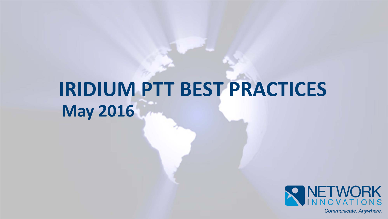# **May 2016 IRIDIUM PTT BEST PRACTICES**

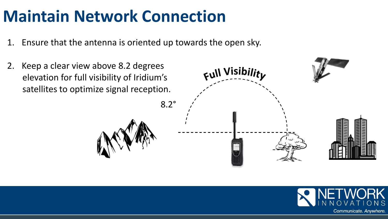# **Maintain Network Connection**

- 1. Ensure that the antenna is oriented up towards the open sky.
- 2. Keep a clear view above 8.2 degrees elevation for full visibility of Iridium's satellites to optimize signal reception.





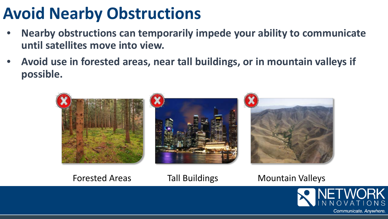# **Avoid Nearby Obstructions**

- **Nearby obstructions can temporarily impede your ability to communicate until satellites move into view.**
- **Avoid use in forested areas, near tall buildings, or in mountain valleys if possible.**



Forested Areas Tall Buildings Mountain Valleys

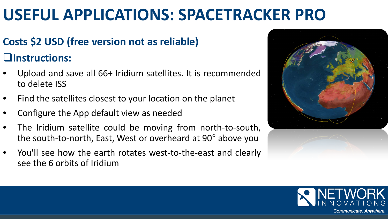## **USEFUL APPLICATIONS: SPACETRACKER PRO**

### **Costs \$2 USD (free version not as reliable)**

#### **Instructions:**

- Upload and save all 66+ Iridium satellites. It is recommended to delete ISS
- Find the satellites closest to your location on the planet
- Configure the App default view as needed
- The Iridium satellite could be moving from north-to-south, the south-to-north, East, West or overheard at 90° above you
- You'll see how the earth rotates west-to-the-east and clearly see the 6 orbits of Iridium



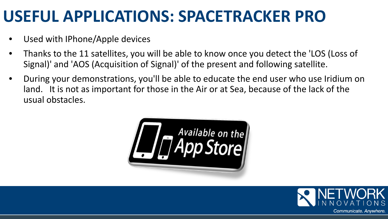### **USEFUL APPLICATIONS: SPACETRACKER PRO**

- Used with IPhone/Apple devices
- Thanks to the 11 satellites, you will be able to know once you detect the 'LOS (Loss of Signal)' and 'AOS (Acquisition of Signal)' of the present and following satellite.
- During your demonstrations, you'll be able to educate the end user who use Iridium on land. It is not as important for those in the Air or at Sea, because of the lack of the usual obstacles.



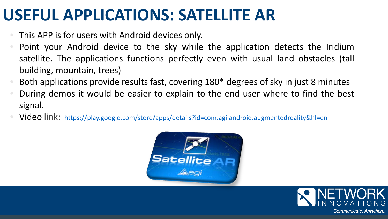### **USEFUL APPLICATIONS: SATELLITE AR**

- This APP is for users with Android devices only.
- Point your Android device to the sky while the application detects the Iridium satellite. The applications functions perfectly even with usual land obstacles (tall building, mountain, trees)
- Both applications provide results fast, covering 180\* degrees of sky in just 8 minutes
- During demos it would be easier to explain to the end user where to find the best signal.
- Video link: <https://play.google.com/store/apps/details?id=com.agi.android.augmentedreality&hl=en>



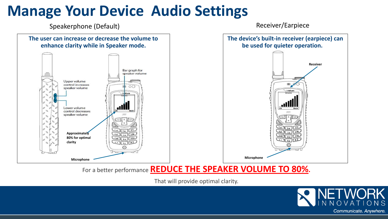### **Manage Your Device Audio Settings**

Speakerphone (Default) **Receiver/Earpiece** Receiver/Earpiece



For a better performance **REDUCE THE SPEAKER VOLUME TO 80%.**

That will provide optimal clarity.

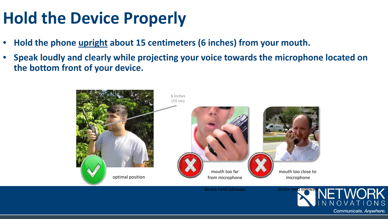# **Hold the Device Properly**

- **Hold the phone upright about 15 centimeters (6 inches) from your mouth.**
- **Speak loudly and clearly while projecting your voice towards the microphone located on the bottom front of your device.**



device held sideways

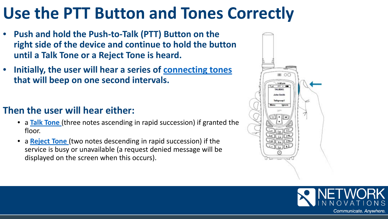## **Use the PTT Button and Tones Correctly**

- **Push and hold the Push-to-Talk (PTT) Button on the right side of the device and continue to hold the button until a Talk Tone or a Reject Tone is heard.**
- **Initially, the user will hear a series of connecting tones that will beep on one second intervals.**

#### **Then the user will hear either:**

- a **Talk Tone** (three notes ascending in rapid succession) if granted the floor.
- a **Reject Tone** (two notes descending in rapid succession) if the service is busy or unavailable (a request denied message will be displayed on the screen when this occurs).



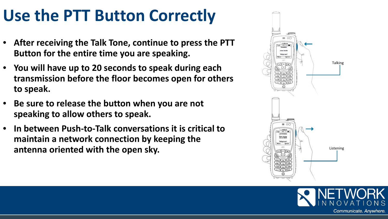# **Use the PTT Button Correctly**

- **After receiving the Talk Tone, continue to press the PTT Button for the entire time you are speaking.**
- **You will have up to 20 seconds to speak during each transmission before the floor becomes open for others to speak.**
- **Be sure to release the button when you are not speaking to allow others to speak.**
- **In between Push-to-Talk conversations it is critical to maintain a network connection by keeping the**  antenna oriented with the open sky.



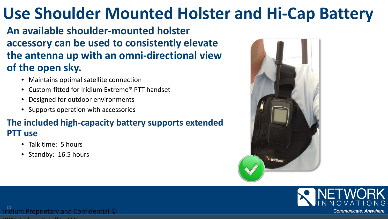### **Use Shoulder Mounted Holster and Hi-Cap Battery**

**An available shoulder-mounted holster accessory can be used to consistently elevate the antenna up with an omni-directional view of the open sky.**

- Maintains optimal satellite connection
- Custom-fitted for Iridium Extreme® PTT handset
- Designed for outdoor environments
- Supports operation with accessories

#### **The included high-capacity battery supports extended PTT use**

- Talk time: 5 hours
- Standby: 16.5 hours



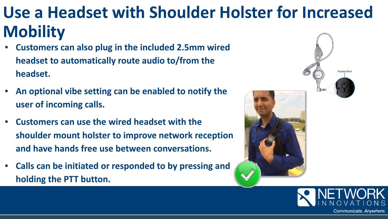# **Use a Headset with Shoulder Holster for Increased Mobility**

- **Customers can also plug in the included 2.5mm wired headset to automatically route audio to/from the headset.**
- **An optional vibe setting can be enabled to notify the user of incoming calls.**
- **Customers can use the wired headset with the shoulder mount holster to improve network reception and have hands free use between conversations.**
- **Calls can be initiated or responded to by pressing and holding the PTT button.**





**Headset Port**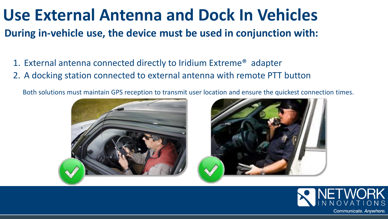### **Use External Antenna and Dock In Vehicles**

**During in-vehicle use, the device must be used in conjunction with:** 

- 1. External antenna connected directly to Iridium Extreme® adapter
- 2. A docking station connected to external antenna with remote PTT button

Both solutions must maintain GPS reception to transmit user location and ensure the quickest connection times.



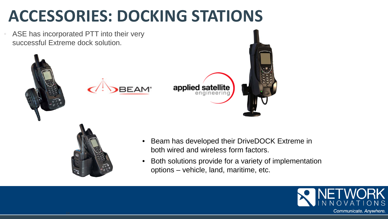# **ACCESSORIES: DOCKING STATIONS**

ASE has incorporated PTT into their very successful Extreme dock solution.







14

- Beam has developed their DriveDOCK Extreme in both wired and wireless form factors.
- Both solutions provide for a variety of implementation options – vehicle, land, maritime, etc.

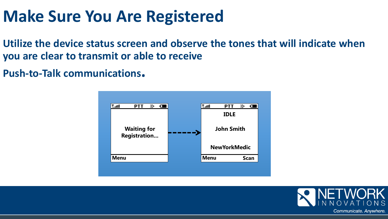## **Make Sure You Are Registered**

**Utilize the device status screen and observe the tones that will indicate when you are clear to transmit or able to receive** 

**Push-to-Talk communications.**



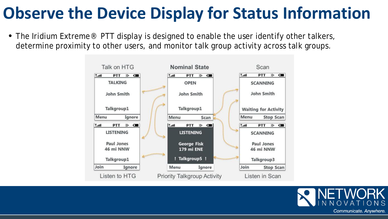# **Observe the Device Display for Status Information**

• The Iridium Extreme<sup>®</sup> PTT display is designed to enable the user identify other talkers, determine proximity to other users, and monitor talk group activity across talk groups.